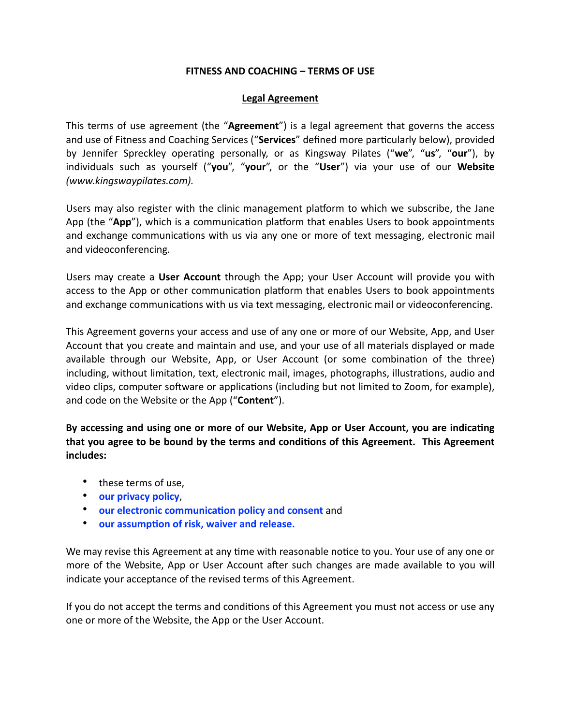## FITNESS AND COACHING - TERMS OF USE

## **Legal Agreement**

This terms of use agreement (the "Agreement") is a legal agreement that governs the access and use of Fitness and Coaching Services ("Services" defined more particularly below), provided by Jennifer Spreckley operating personally, or as Kingsway Pilates ("we", "us", "our"), by individuals such as yourself ("you", "your", or the "User") via your use of our Website (www.kingswaypilates.com).

Users may also register with the clinic management platform to which we subscribe, the Jane App (the "App"), which is a communication platform that enables Users to book appointments and exchange communications with us via any one or more of text messaging, electronic mail and videoconferencing.

Users may create a User Account through the App; your User Account will provide you with access to the App or other communication platform that enables Users to book appointments and exchange communications with us via text messaging, electronic mail or videoconferencing.

This Agreement governs your access and use of any one or more of our Website, App, and User Account that you create and maintain and use, and your use of all materials displayed or made available through our Website, App, or User Account (or some combination of the three) including, without limitation, text, electronic mail, images, photographs, illustrations, audio and video clips, computer software or applications (including but not limited to Zoom, for example), and code on the Website or the App ("Content").

By accessing and using one or more of our Website, App or User Account, you are indicating that you agree to be bound by the terms and conditions of this Agreement. This Agreement includes:

- these terms of use,
- our privacy policy.
- our electronic communication policy and consent and
- our assumption of risk, waiver and release.

We may revise this Agreement at any time with reasonable notice to you. Your use of any one or more of the Website, App or User Account after such changes are made available to you will indicate your acceptance of the revised terms of this Agreement.

If you do not accept the terms and conditions of this Agreement you must not access or use any one or more of the Website, the App or the User Account.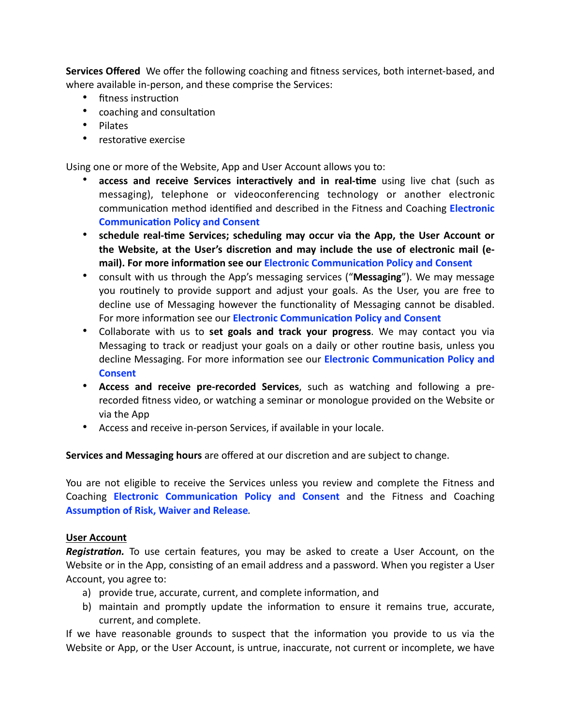Services Offered We offer the following coaching and fitness services, both internet-based, and where available in-person, and these comprise the Services:

- fitness instruction
- coaching and consultation
- Pilates
- restorative exercise

Using one or more of the Website, App and User Account allows you to:

- $\bullet$ access and receive Services interactively and in real-time using live chat (such as messaging), telephone or videoconferencing technology or another electronic communication method identified and described in the Fitness and Coaching Electronic **Communication Policy and Consent**
- schedule real-time Services; scheduling may occur via the App, the User Account or the Website, at the User's discretion and may include the use of electronic mail (email). For more information see our Electronic Communication Policy and Consent
- consult with us through the App's messaging services ("Messaging"). We may message you routinely to provide support and adjust your goals. As the User, you are free to decline use of Messaging however the functionality of Messaging cannot be disabled. For more information see our Electronic Communication Policy and Consent
- Collaborate with us to set goals and track your progress. We may contact you via Messaging to track or readjust your goals on a daily or other routine basis, unless you decline Messaging. For more information see our **Electronic Communication Policy and Consent**
- Access and receive pre-recorded Services, such as watching and following a prerecorded fitness video, or watching a seminar or monologue provided on the Website or via the App
- Access and receive in-person Services, if available in your locale.

Services and Messaging hours are offered at our discretion and are subject to change.

You are not eligible to receive the Services unless you review and complete the Fitness and Coaching Electronic Communication Policy and Consent and the Fitness and Coaching **Assumption of Risk, Waiver and Release.** 

## **User Account**

Registration. To use certain features, you may be asked to create a User Account, on the Website or in the App, consisting of an email address and a password. When you register a User Account, you agree to:

- a) provide true, accurate, current, and complete information, and
- b) maintain and promptly update the information to ensure it remains true, accurate, current, and complete.

If we have reasonable grounds to suspect that the information you provide to us via the Website or App, or the User Account, is untrue, inaccurate, not current or incomplete, we have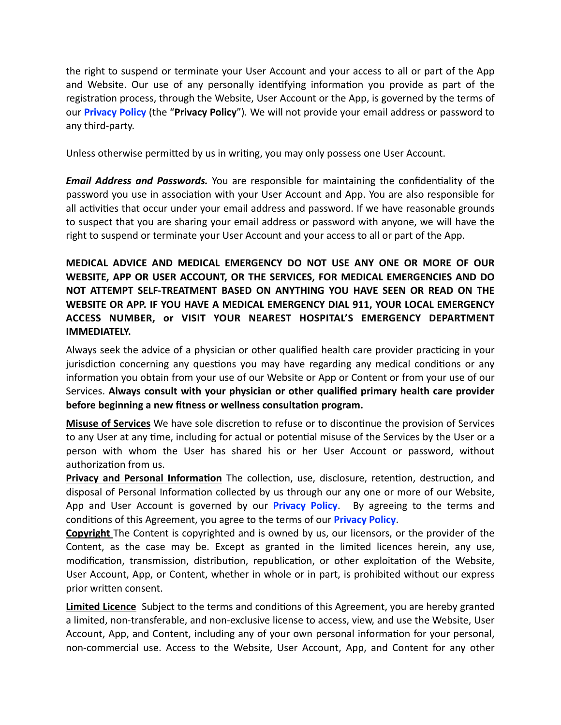the right to suspend or terminate your User Account and your access to all or part of the App and Website. Our use of any personally identifying information you provide as part of the registration process, through the Website, User Account or the App, is governed by the terms of our Privacy Policy (the "Privacy Policy"). We will not provide your email address or password to any third-party.

Unless otherwise permitted by us in writing, you may only possess one User Account.

**Email Address and Passwords.** You are responsible for maintaining the confidentiality of the password you use in association with your User Account and App. You are also responsible for all activities that occur under your email address and password. If we have reasonable grounds to suspect that you are sharing your email address or password with anyone, we will have the right to suspend or terminate your User Account and your access to all or part of the App.

MEDICAL ADVICE AND MEDICAL EMERGENCY DO NOT USE ANY ONE OR MORE OF OUR WEBSITE, APP OR USER ACCOUNT, OR THE SERVICES, FOR MEDICAL EMERGENCIES AND DO NOT ATTEMPT SELF-TREATMENT BASED ON ANYTHING YOU HAVE SEEN OR READ ON THE WEBSITE OR APP. IF YOU HAVE A MEDICAL EMERGENCY DIAL 911. YOUR LOCAL EMERGENCY ACCESS NUMBER, or VISIT YOUR NEAREST HOSPITAL'S EMERGENCY DEPARTMENT **IMMFDIATFLY.** 

Always seek the advice of a physician or other qualified health care provider practicing in your jurisdiction concerning any questions you may have regarding any medical conditions or any information you obtain from your use of our Website or App or Content or from your use of our Services. Always consult with your physician or other qualified primary health care provider before beginning a new fitness or wellness consultation program.

Misuse of Services We have sole discretion to refuse or to discontinue the provision of Services to any User at any time, including for actual or potential misuse of the Services by the User or a person with whom the User has shared his or her User Account or password, without authorization from us.

Privacy and Personal Information The collection, use, disclosure, retention, destruction, and disposal of Personal Information collected by us through our any one or more of our Website, App and User Account is governed by our **Privacy Policy**. By agreeing to the terms and conditions of this Agreement, you agree to the terms of our **Privacy Policy**.

**Copyright** The Content is copyrighted and is owned by us, our licensors, or the provider of the Content, as the case may be. Except as granted in the limited licences herein, any use, modification, transmission, distribution, republication, or other exploitation of the Website, User Account, App, or Content, whether in whole or in part, is prohibited without our express prior written consent.

Limited Licence Subject to the terms and conditions of this Agreement, you are hereby granted a limited, non-transferable, and non-exclusive license to access, view, and use the Website, User Account, App, and Content, including any of your own personal information for your personal, non-commercial use. Access to the Website, User Account, App, and Content for any other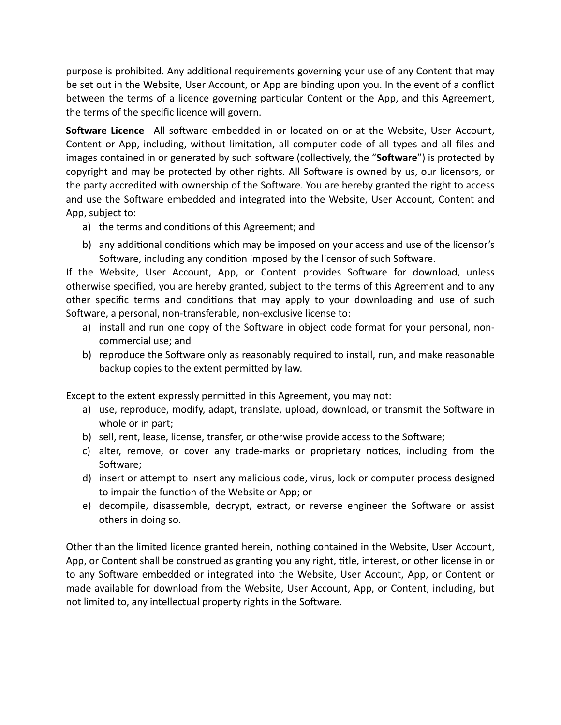purpose is prohibited. Any additional requirements governing your use of any Content that may be set out in the Website, User Account, or App are binding upon you. In the event of a conflict between the terms of a licence governing particular Content or the App, and this Agreement, the terms of the specific licence will govern.

Software Licence All software embedded in or located on or at the Website, User Account, Content or App, including, without limitation, all computer code of all types and all files and images contained in or generated by such software (collectively, the "**Software**") is protected by copyright and may be protected by other rights. All Software is owned by us, our licensors, or the party accredited with ownership of the Software. You are hereby granted the right to access and use the Software embedded and integrated into the Website, User Account, Content and App, subject to:

- a) the terms and conditions of this Agreement; and
- b) any additional conditions which may be imposed on your access and use of the licensor's Software, including any condition imposed by the licensor of such Software.

If the Website, User Account, App, or Content provides Software for download, unless otherwise specified, you are hereby granted, subject to the terms of this Agreement and to any other specific terms and conditions that may apply to your downloading and use of such Software, a personal, non-transferable, non-exclusive license to:

- a) install and run one copy of the Software in object code format for your personal, noncommercial use; and
- b) reproduce the Software only as reasonably required to install, run, and make reasonable backup copies to the extent permitted by law.

Except to the extent expressly permitted in this Agreement, you may not:

- a) use, reproduce, modify, adapt, translate, upload, download, or transmit the Software in whole or in part;
- b) sell, rent, lease, license, transfer, or otherwise provide access to the Software;
- c) alter, remove, or cover any trade-marks or proprietary notices, including from the Software;
- d) insert or attempt to insert any malicious code, virus, lock or computer process designed to impair the function of the Website or App; or
- e) decompile, disassemble, decrypt, extract, or reverse engineer the Software or assist others in doing so.

Other than the limited licence granted herein, nothing contained in the Website, User Account, App, or Content shall be construed as granting you any right, title, interest, or other license in or to any Software embedded or integrated into the Website, User Account, App, or Content or made available for download from the Website, User Account, App, or Content, including, but not limited to, any intellectual property rights in the Software.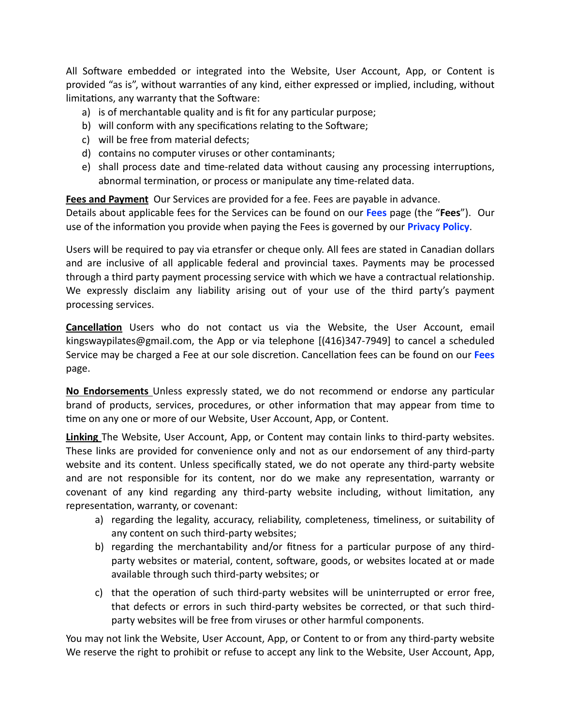All Software embedded or integrated into the Website, User Account, App, or Content is provided "as is", without warranties of any kind, either expressed or implied, including, without limitations, any warranty that the Software:

- a) is of merchantable quality and is fit for any particular purpose;
- b) will conform with any specifications relating to the Software;
- c) will be free from material defects;
- d) contains no computer viruses or other contaminants;
- e) shall process date and time-related data without causing any processing interruptions, abnormal termination, or process or manipulate any time-related data.

Fees and Payment Our Services are provided for a fee. Fees are payable in advance.

Details about applicable fees for the Services can be found on our Fees page (the "Fees"). Our use of the information you provide when paying the Fees is governed by our **Privacy Policy**.

Users will be required to pay via etransfer or cheque only. All fees are stated in Canadian dollars and are inclusive of all applicable federal and provincial taxes. Payments may be processed through a third party payment processing service with which we have a contractual relationship. We expressly disclaim any liability arising out of your use of the third party's payment processing services.

Cancellation Users who do not contact us via the Website, the User Account, email kingswaypilates@gmail.com, the App or via telephone [(416)347-7949] to cancel a scheduled Service may be charged a Fee at our sole discretion. Cancellation fees can be found on our Fees page.

No Endorsements Unless expressly stated, we do not recommend or endorse any particular brand of products, services, procedures, or other information that may appear from time to time on any one or more of our Website, User Account, App, or Content.

Linking The Website, User Account, App, or Content may contain links to third-party websites. These links are provided for convenience only and not as our endorsement of any third-party website and its content. Unless specifically stated, we do not operate any third-party website and are not responsible for its content, nor do we make any representation, warranty or covenant of any kind regarding any third-party website including, without limitation, any representation, warranty, or covenant:

- a) regarding the legality, accuracy, reliability, completeness, timeliness, or suitability of any content on such third-party websites;
- b) regarding the merchantability and/or fitness for a particular purpose of any thirdparty websites or material, content, software, goods, or websites located at or made available through such third-party websites; or
- c) that the operation of such third-party websites will be uninterrupted or error free, that defects or errors in such third-party websites be corrected, or that such thirdparty websites will be free from viruses or other harmful components.

You may not link the Website, User Account, App, or Content to or from any third-party website We reserve the right to prohibit or refuse to accept any link to the Website, User Account, App,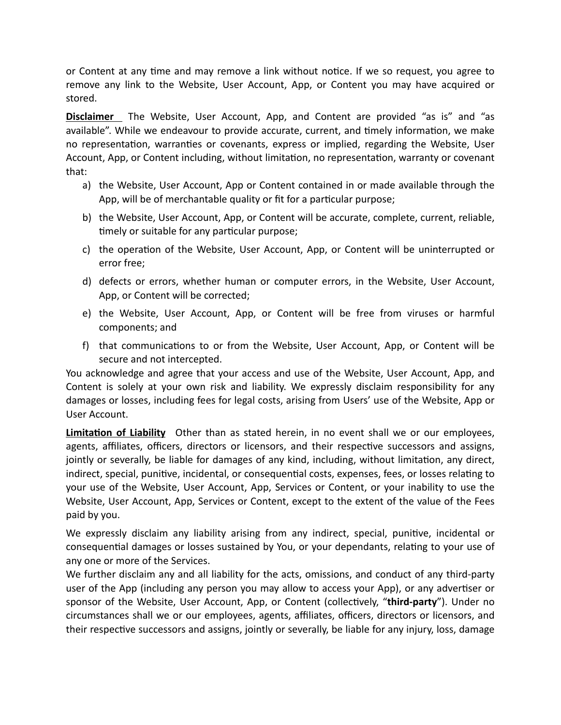or Content at any time and may remove a link without notice. If we so request, you agree to remove any link to the Website, User Account, App, or Content you may have acquired or stored.

Disclaimer The Website, User Account, App, and Content are provided "as is" and "as available". While we endeavour to provide accurate, current, and timely information, we make no representation, warranties or covenants, express or implied, regarding the Website, User Account, App, or Content including, without limitation, no representation, warranty or covenant that:

- a) the Website, User Account, App or Content contained in or made available through the App, will be of merchantable quality or fit for a particular purpose;
- b) the Website, User Account, App, or Content will be accurate, complete, current, reliable, timely or suitable for any particular purpose;
- c) the operation of the Website, User Account, App, or Content will be uninterrupted or error free:
- d) defects or errors, whether human or computer errors, in the Website, User Account, App, or Content will be corrected;
- e) the Website, User Account, App, or Content will be free from viruses or harmful components; and
- f) that communications to or from the Website, User Account, App, or Content will be secure and not intercepted.

You acknowledge and agree that your access and use of the Website, User Account, App, and Content is solely at your own risk and liability. We expressly disclaim responsibility for any damages or losses, including fees for legal costs, arising from Users' use of the Website, App or User Account.

Limitation of Liability Other than as stated herein, in no event shall we or our employees, agents, affiliates, officers, directors or licensors, and their respective successors and assigns, jointly or severally, be liable for damages of any kind, including, without limitation, any direct, indirect, special, punitive, incidental, or consequential costs, expenses, fees, or losses relating to your use of the Website, User Account, App, Services or Content, or your inability to use the Website, User Account, App, Services or Content, except to the extent of the value of the Fees paid by you.

We expressly disclaim any liability arising from any indirect, special, punitive, incidental or consequential damages or losses sustained by You, or your dependants, relating to your use of any one or more of the Services.

We further disclaim any and all liability for the acts, omissions, and conduct of any third-party user of the App (including any person you may allow to access your App), or any advertiser or sponsor of the Website, User Account, App, or Content (collectively, "third-party"). Under no circumstances shall we or our employees, agents, affiliates, officers, directors or licensors, and their respective successors and assigns, jointly or severally, be liable for any injury, loss, damage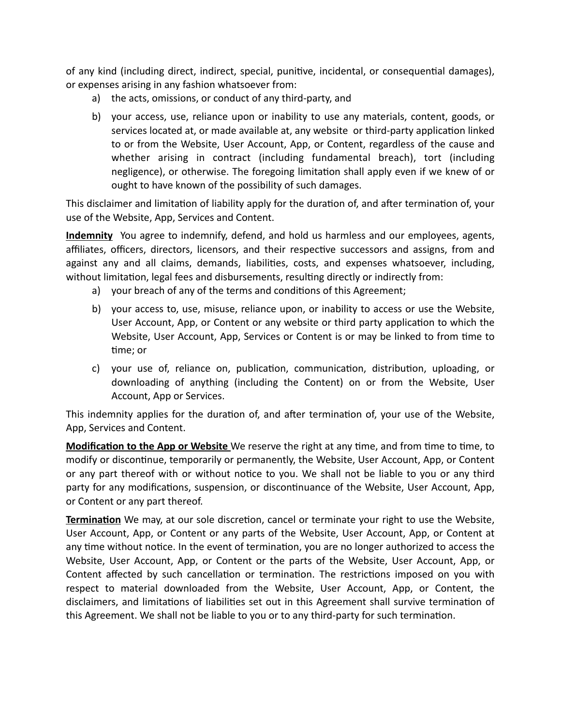of any kind (including direct, indirect, special, punitive, incidental, or consequential damages), or expenses arising in any fashion whatsoever from:

- a) the acts, omissions, or conduct of any third-party, and
- b) your access, use, reliance upon or inability to use any materials, content, goods, or services located at, or made available at, any website or third-party application linked to or from the Website, User Account, App, or Content, regardless of the cause and whether arising in contract (including fundamental breach), tort (including negligence), or otherwise. The foregoing limitation shall apply even if we knew of or ought to have known of the possibility of such damages.

This disclaimer and limitation of liability apply for the duration of, and after termination of, your use of the Website, App, Services and Content.

**Indemnity** You agree to indemnify, defend, and hold us harmless and our employees, agents, affiliates, officers, directors, licensors, and their respective successors and assigns, from and against any and all claims, demands, liabilities, costs, and expenses whatsoever, including, without limitation, legal fees and disbursements, resulting directly or indirectly from:

- a) your breach of any of the terms and conditions of this Agreement;
- b) your access to, use, misuse, reliance upon, or inability to access or use the Website, User Account, App, or Content or any website or third party application to which the Website, User Account, App, Services or Content is or may be linked to from time to time; or
- c) your use of, reliance on, publication, communication, distribution, uploading, or downloading of anything (including the Content) on or from the Website, User Account, App or Services.

This indemnity applies for the duration of, and after termination of, your use of the Website, App, Services and Content.

Modification to the App or Website We reserve the right at any time, and from time to time, to modify or discontinue, temporarily or permanently, the Website, User Account, App, or Content or any part thereof with or without notice to you. We shall not be liable to you or any third party for any modifications, suspension, or discontinuance of the Website, User Account, App, or Content or any part thereof.

Termination We may, at our sole discretion, cancel or terminate your right to use the Website, User Account, App, or Content or any parts of the Website, User Account, App, or Content at any time without notice. In the event of termination, you are no longer authorized to access the Website, User Account, App, or Content or the parts of the Website, User Account, App, or Content affected by such cancellation or termination. The restrictions imposed on you with respect to material downloaded from the Website, User Account, App, or Content, the disclaimers, and limitations of liabilities set out in this Agreement shall survive termination of this Agreement. We shall not be liable to you or to any third-party for such termination.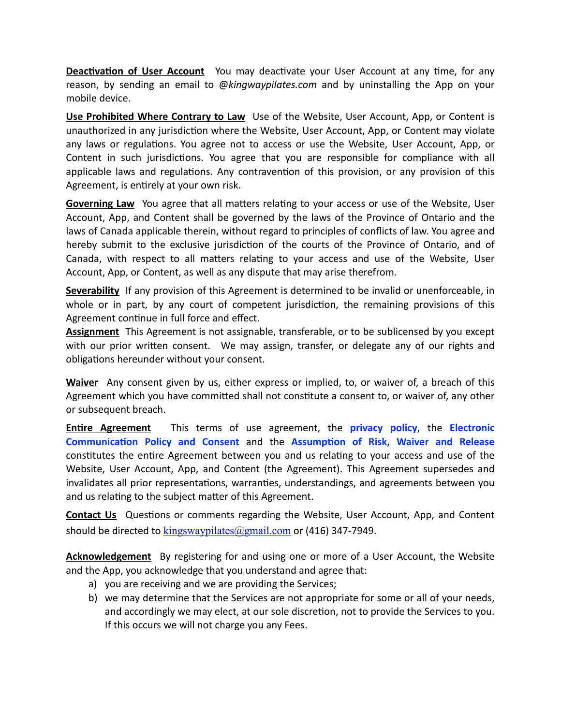**Deactivation of User Account** You may deactivate your User Account at any time, for any reason, by sending an email to @kingwaypilates.com and by uninstalling the App on your mobile device.

Use Prohibited Where Contrary to Law Use of the Website, User Account, App, or Content is unauthorized in any jurisdiction where the Website, User Account, App, or Content may violate any laws or regulations. You agree not to access or use the Website, User Account, App, or Content in such jurisdictions. You agree that you are responsible for compliance with all applicable laws and regulations. Any contravention of this provision, or any provision of this Agreement, is entirely at your own risk.

Governing Law You agree that all matters relating to your access or use of the Website, User Account, App, and Content shall be governed by the laws of the Province of Ontario and the laws of Canada applicable therein, without regard to principles of conflicts of law. You agree and hereby submit to the exclusive jurisdiction of the courts of the Province of Ontario, and of Canada, with respect to all matters relating to your access and use of the Website, User Account, App, or Content, as well as any dispute that may arise therefrom.

Severability If any provision of this Agreement is determined to be invalid or unenforceable, in whole or in part, by any court of competent jurisdiction, the remaining provisions of this Agreement continue in full force and effect.

Assignment This Agreement is not assignable, transferable, or to be sublicensed by you except with our prior written consent. We may assign, transfer, or delegate any of our rights and obligations hereunder without your consent.

Waiver Any consent given by us, either express or implied, to, or waiver of, a breach of this Agreement which you have committed shall not constitute a consent to, or waiver of, any other or subsequent breach.

This terms of use agreement, the **privacy policy**, the **Electronic Entire Agreement** Communication Policy and Consent and the Assumption of Risk, Waiver and Release constitutes the entire Agreement between you and us relating to your access and use of the Website, User Account, App, and Content (the Agreement). This Agreement supersedes and invalidates all prior representations, warranties, understandings, and agreements between you and us relating to the subject matter of this Agreement.

**Contact Us** Questions or comments regarding the Website, User Account, App, and Content should be directed to  $\frac{\text{kingswaypilates}(\partial \rho \text{gmail.com})}{\text{kingswaypilates}(\partial \rho \text{gmail.com})}$  or (416) 347-7949.

**Acknowledgement** By registering for and using one or more of a User Account, the Website and the App, you acknowledge that you understand and agree that:

- a) you are receiving and we are providing the Services;
- b) we may determine that the Services are not appropriate for some or all of your needs, and accordingly we may elect, at our sole discretion, not to provide the Services to you. If this occurs we will not charge you any Fees.